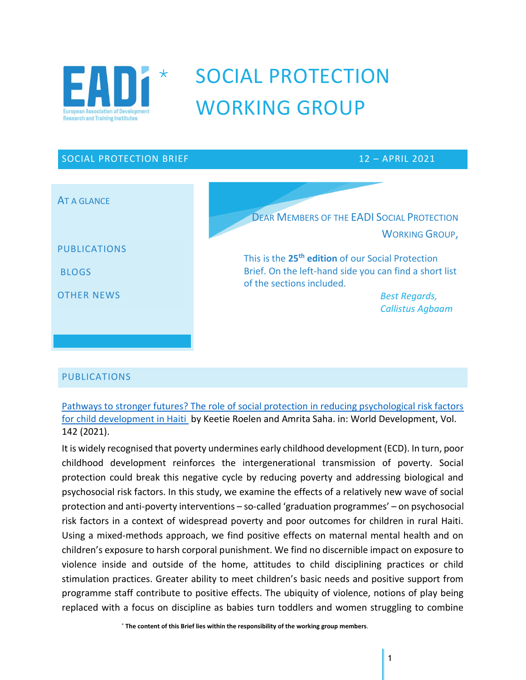

# SOCIAL PROTECTION WORKING GROUP

# SOCIAL PROTECTION BRIEF 12 – APRIL 2021 AT A GLANCE PUBLICATIONS BLOGS OTHER NEWS DEAR MEMBERS OF THE EADI SOCIAL PROTECTION WORKING GROUP, This is the **25 th edition** of our Social Protection Brief. On the left-hand side you can find a short list of the sections included. *Best Regards, Callistus Agbaam*

#### PUBLICATIONS

Pathways to stronger futures? The role of social protection in reducing psychological risk factors for child development in Haiti by Keetie Roelen and Amrita Saha. in: World Development, Vol. 142 (2021).

It is widely recognised that poverty undermines early childhood development (ECD). In turn, poor childhood development reinforces the intergenerational transmission of poverty. Social protection could break this negative cycle by reducing poverty and addressing biological and psychosocial risk factors. In this study, we examine the effects of a relatively new wave of social protection and anti-poverty interventions – so-called 'graduation programmes' – on psychosocial risk factors in a context of widespread poverty and poor outcomes for children in rural Haiti. Using a mixed-methods approach, we find positive effects on maternal mental health and on children's exposure to harsh corporal punishment. We find no discernible impact on exposure to violence inside and outside of the home, attitudes to child disciplining practices or child stimulation practices. Greater ability to meet children's basic needs and positive support from programme staff contribute to positive effects. The ubiquity of violence, notions of play being replaced with a focus on discipline as babies turn toddlers and women struggling to combine

**The content of this Brief lies within the responsibility of the working group members**.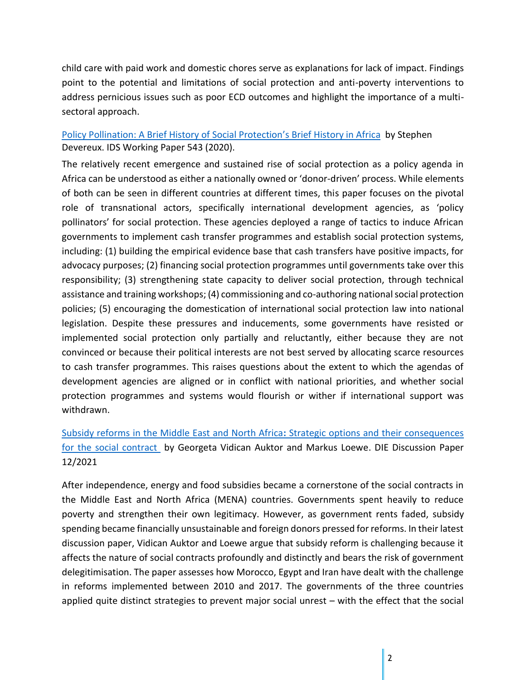child care with paid work and domestic chores serve as explanations for lack of impact. Findings point to the potential and limitations of social protection and anti-poverty interventions to address pernicious issues such as poor ECD outcomes and highlight the importance of a multisectoral approach.

### Policy Pollination: A Brief History of Social Protection's Brief History in Africa by Stephen Devereux. IDS Working Paper 543 (2020).

The relatively recent emergence and sustained rise of social protection as a policy agenda in Africa can be understood as either a nationally owned or 'donor-driven' process. While elements of both can be seen in different countries at different times, this paper focuses on the pivotal role of transnational actors, specifically international development agencies, as 'policy pollinators' for social protection. These agencies deployed a range of tactics to induce African governments to implement cash transfer programmes and establish social protection systems, including: (1) building the empirical evidence base that cash transfers have positive impacts, for advocacy purposes; (2) financing social protection programmes until governments take over this responsibility; (3) strengthening state capacity to deliver social protection, through technical assistance and training workshops; (4) commissioning and co-authoring national social protection policies; (5) encouraging the domestication of international social protection law into national legislation. Despite these pressures and inducements, some governments have resisted or implemented social protection only partially and reluctantly, either because they are not convinced or because their political interests are not best served by allocating scarce resources to cash transfer programmes. This raises questions about the extent to which the agendas of development agencies are aligned or in conflict with national priorities, and whether social protection programmes and systems would flourish or wither if international support was withdrawn.

## Subsidy reforms in the Middle East and North Africa**:** Strategic options and their consequences for the social contract by Georgeta Vidican Auktor and Markus Loewe. DIE Discussion Paper 12/2021

After independence, energy and food subsidies became a cornerstone of the social contracts in the Middle East and North Africa (MENA) countries. Governments spent heavily to reduce poverty and strengthen their own legitimacy. However, as government rents faded, subsidy spending became financially unsustainable and foreign donors pressed for reforms. In their latest discussion paper, Vidican Auktor and Loewe argue that subsidy reform is challenging because it affects the nature of social contracts profoundly and distinctly and bears the risk of government delegitimisation. The paper assesses how Morocco, Egypt and Iran have dealt with the challenge in reforms implemented between 2010 and 2017. The governments of the three countries applied quite distinct strategies to prevent major social unrest – with the effect that the social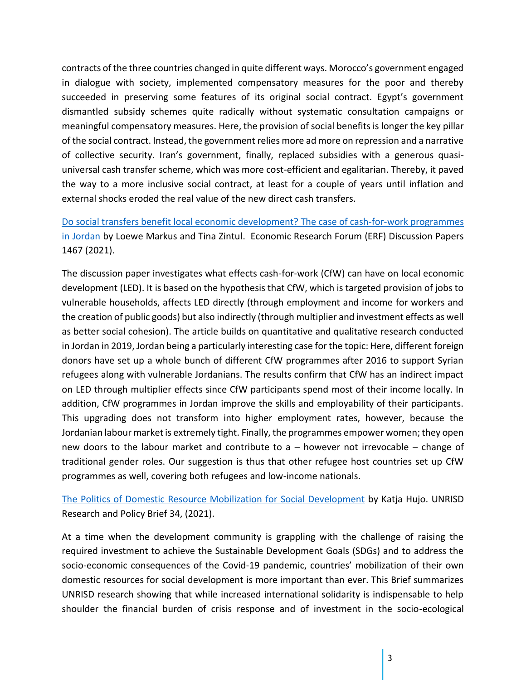contracts of the three countries changed in quite different ways. Morocco's government engaged in dialogue with society, implemented compensatory measures for the poor and thereby succeeded in preserving some features of its original social contract. Egypt's government dismantled subsidy schemes quite radically without systematic consultation campaigns or meaningful compensatory measures. Here, the provision of social benefits is longer the key pillar of the social contract. Instead, the government relies more ad more on repression and a narrative of collective security. Iran's government, finally, replaced subsidies with a generous quasiuniversal cash transfer scheme, which was more cost-efficient and egalitarian. Thereby, it paved the way to a more inclusive social contract, at least for a couple of years until inflation and external shocks eroded the real value of the new direct cash transfers.

Do social transfers benefit local economic development? The case of cash-for-work programmes in Jordan by Loewe Markus and Tina Zintul. Economic Research Forum (ERF) Discussion Papers 1467 (2021).

The discussion paper investigates what effects cash-for-work (CfW) can have on local economic development (LED). It is based on the hypothesis that CfW, which is targeted provision of jobs to vulnerable households, affects LED directly (through employment and income for workers and the creation of public goods) but also indirectly (through multiplier and investment effects as well as better social cohesion). The article builds on quantitative and qualitative research conducted in Jordan in 2019, Jordan being a particularly interesting case for the topic: Here, different foreign donors have set up a whole bunch of different CfW programmes after 2016 to support Syrian refugees along with vulnerable Jordanians. The results confirm that CfW has an indirect impact on LED through multiplier effects since CfW participants spend most of their income locally. In addition, CfW programmes in Jordan improve the skills and employability of their participants. This upgrading does not transform into higher employment rates, however, because the Jordanian labour market is extremely tight. Finally, the programmes empower women; they open new doors to the labour market and contribute to a – however not irrevocable – change of traditional gender roles. Our suggestion is thus that other refugee host countries set up CfW programmes as well, covering both refugees and low-income nationals.

The Politics of Domestic Resource Mobilization for Social Development by Katja Hujo. UNRISD Research and Policy Brief 34, (2021).

At a time when the development community is grappling with the challenge of raising the required investment to achieve the Sustainable Development Goals (SDGs) and to address the socio-economic consequences of the Covid-19 pandemic, countries' mobilization of their own domestic resources for social development is more important than ever. This Brief summarizes UNRISD research showing that while increased international solidarity is indispensable to help shoulder the financial burden of crisis response and of investment in the socio-ecological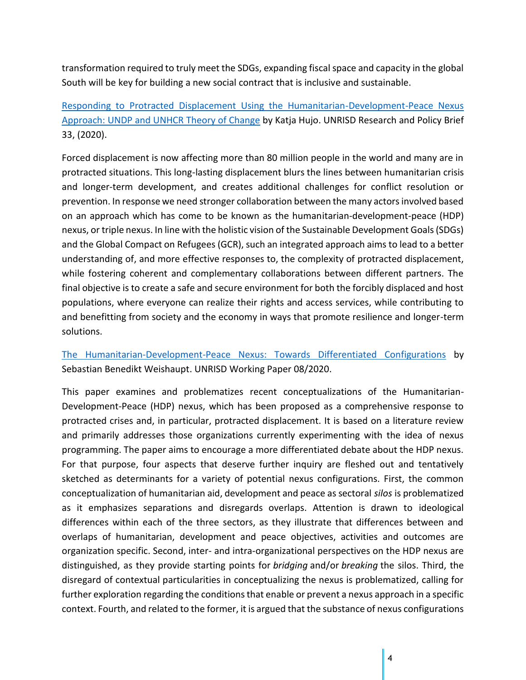transformation required to truly meet the SDGs, expanding fiscal space and capacity in the global South will be key for building a new social contract that is inclusive and sustainable.

Responding to Protracted Displacement Using the Humanitarian-Development-Peace Nexus Approach: UNDP and UNHCR Theory of Change by Katja Hujo. UNRISD Research and Policy Brief 33, (2020).

Forced displacement is now affecting more than 80 million people in the world and many are in protracted situations. This long-lasting displacement blurs the lines between humanitarian crisis and longer-term development, and creates additional challenges for conflict resolution or prevention. In response we need stronger collaboration between the many actors involved based on an approach which has come to be known as the humanitarian-development-peace (HDP) nexus, or triple nexus. In line with the holistic vision of the Sustainable Development Goals (SDGs) and the Global Compact on Refugees (GCR), such an integrated approach aims to lead to a better understanding of, and more effective responses to, the complexity of protracted displacement, while fostering coherent and complementary collaborations between different partners. The final objective is to create a safe and secure environment for both the forcibly displaced and host populations, where everyone can realize their rights and access services, while contributing to and benefitting from society and the economy in ways that promote resilience and longer-term solutions.

The Humanitarian-Development-Peace Nexus: Towards Differentiated Configurations by Sebastian Benedikt Weishaupt. UNRISD Working Paper 08/2020.

This paper examines and problematizes recent conceptualizations of the Humanitarian-Development-Peace (HDP) nexus, which has been proposed as a comprehensive response to protracted crises and, in particular, protracted displacement. It is based on a literature review and primarily addresses those organizations currently experimenting with the idea of nexus programming. The paper aims to encourage a more differentiated debate about the HDP nexus. For that purpose, four aspects that deserve further inquiry are fleshed out and tentatively sketched as determinants for a variety of potential nexus configurations. First, the common conceptualization of humanitarian aid, development and peace as sectoral *silos* is problematized as it emphasizes separations and disregards overlaps. Attention is drawn to ideological differences within each of the three sectors, as they illustrate that differences between and overlaps of humanitarian, development and peace objectives, activities and outcomes are organization specific. Second, inter- and intra-organizational perspectives on the HDP nexus are distinguished, as they provide starting points for *bridging* and/or *breaking* the silos. Third, the disregard of contextual particularities in conceptualizing the nexus is problematized, calling for further exploration regarding the conditions that enable or prevent a nexus approach in a specific context. Fourth, and related to the former, it is argued that the substance of nexus configurations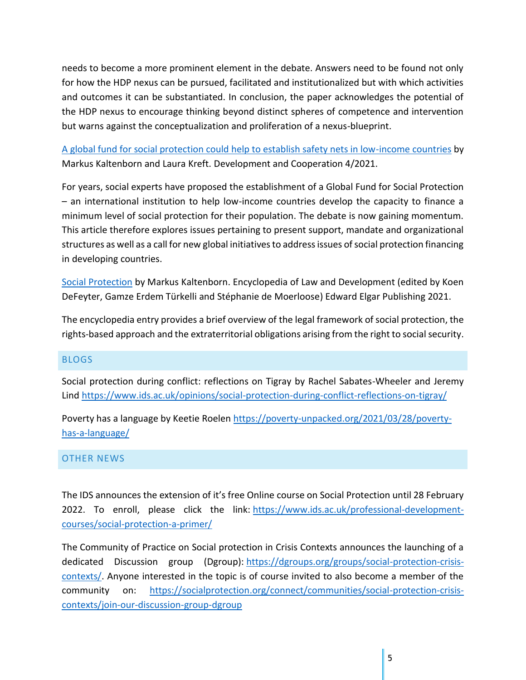needs to become a more prominent element in the debate. Answers need to be found not only for how the HDP nexus can be pursued, facilitated and institutionalized but with which activities and outcomes it can be substantiated. In conclusion, the paper acknowledges the potential of the HDP nexus to encourage thinking beyond distinct spheres of competence and intervention but warns against the conceptualization and proliferation of a nexus-blueprint.

A global fund for social protection could help to establish safety nets in low-income countries by Markus Kaltenborn and Laura Kreft. Development and Cooperation 4/2021.

For years, social experts have proposed the establishment of a Global Fund for Social Protection – an international institution to help low-income countries develop the capacity to finance a minimum level of social protection for their population. The debate is now gaining momentum. This article therefore explores issues pertaining to present support, mandate and organizational structures as well as a call for new global initiatives to address issues of social protection financing in developing countries.

Social Protection by Markus Kaltenborn. Encyclopedia of Law and Development (edited by Koen DeFeyter, Gamze Erdem Türkelli and Stéphanie de Moerloose) Edward Elgar Publishing 2021.

The encyclopedia entry provides a brief overview of the legal framework of social protection, the rights-based approach and the extraterritorial obligations arising from the right to social security.

#### BLOGS

Social protection during conflict: reflections on Tigray by Rachel Sabates-Wheeler and Jeremy Lind https://www.ids.ac.uk/opinions/social-protection-during-conflict-reflections-on-tigray/

Poverty has a language by Keetie Roelen https://poverty-unpacked.org/2021/03/28/povertyhas-a-language/

#### OTHER NEWS

The IDS announces the extension of it's free Online course on Social Protection until 28 February 2022. To enroll, please click the link: https://www.ids.ac.uk/professional-developmentcourses/social-protection-a-primer/

The Community of Practice on Social protection in Crisis Contexts announces the launching of a dedicated Discussion group (Dgroup): https://dgroups.org/groups/social-protection-crisiscontexts/. Anyone interested in the topic is of course invited to also become a member of the community on: https://socialprotection.org/connect/communities/social-protection-crisiscontexts/join-our-discussion-group-dgroup